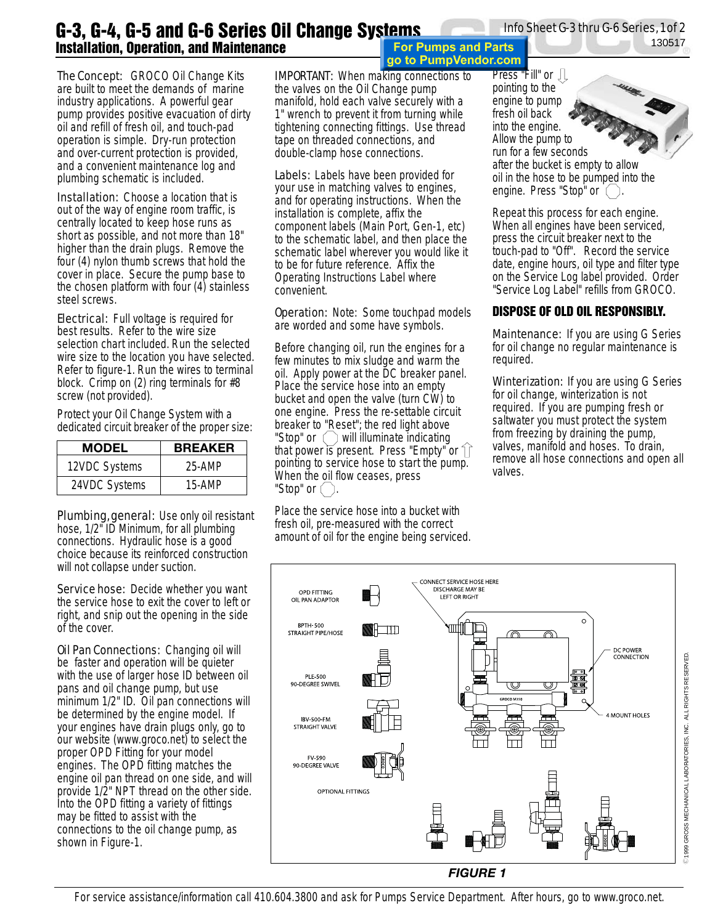## Info Sheet G-3 thru G-6 Series, 1 of 2

130517

## **G-3, G-4, G-5 and G-6 Series Oil Change Systems Installation, Operation, and Maintenance**

The Concept: GROCO Oil Change Kits are built to meet the demands of marine industry applications. A powerful gear pump provides positive evacuation of dirty oil and refill of fresh oil, and touch-pad operation is simple. Dry-run protection and over-current protection is provided, and a convenient maintenance log and plumbing schematic is included.

**Installation:** Choose a location that is out of the way of engine room traffic, is centrally located to keep hose runs as short as possible, and not more than 18" higher than the drain plugs. Remove the four (4) nylon thumb screws that hold the cover in place. Secure the pump base to the chosen platform with four (4) stainless steel screws.

**Electrical:** Full voltage is required for best results. Refer to the wire size selection chart included. Run the selected wire size to the location you have selected. Refer to figure-1. Run the wires to terminal block. Crimp on (2) ring terminals for #8 screw (not provided).

Protect your Oil Change System with a dedicated circuit breaker of the proper size:

| <b>MODEL</b>  | <b>BREAKER</b> |  |  |
|---------------|----------------|--|--|
| 12VDC Systems | 25-AMP         |  |  |
| 24VDC Systems | 15-AMP         |  |  |

Plumbing, general: Use only oil resistant hose, 1/2" ID Minimum, for all plumbing connections. Hydraulic hose is a good choice because its reinforced construction will not collapse under suction.

Service hose: Decide whether you want the service hose to exit the cover to left or right, and snip out the opening in the side of the cover.

**Oil Pan Connections: Changing oil will** be faster and operation will be quieter with the use of larger hose ID between oil pans and oil change pump, but use minimum 1/2" ID. Oil pan connections will be determined by the engine model. If your engines have drain plugs only, go to our website (www.groco.net) to select the proper OPD Fitting for your model engines. The OPD fitting matches the engine oil pan thread on one side, and will provide 1/2" NPT thread on the other side. Into the OPD fitting a variety of fittings may be fitted to assist with the connections to the oil change pump, as shown in Figure-1.

IMPORTANT: When making connections to the valves on the Oil Change pump manifold, hold each valve securely with a 1" wrench to prevent it from turning while tightening connecting fittings. Use thread tape on threaded connections, and double-clamp hose connections.

Labels: Labels have been provided for your use in matching valves to engines, and for operating instructions. When the installation is complete, affix the component labels (Main Port, Gen-1, etc) to the schematic label, and then place the schematic label wherever you would like it to be for future reference. Affix the Operating Instructions Label where convenient.

**Operation:** Note: Some touchpad models are worded and some have symbols.

Before changing oil, run the engines for a few minutes to mix sludge and warm the oil. Apply power at the DC breaker panel. Place the service hose into an empty bucket and open the valve (turn CW) to one engine. Press the re-settable circuit breaker to "Reset"; the red light above "Stop" or  $\left( \quad \right)$  will illuminate indicating that power is present. Press "Empty" or  $\hat{1}$ pointing to service hose to start the pump. When the oil flow ceases, press "Stop" or .

Place the service hose into a bucket with fresh oil, pre-measured with the correct amount of oil for the engine being serviced.

**For Pumps and Parts** go to PumpVendor.com

Press "Fill" or  $\Box$ pointing to the engine to pump fresh oil back into the engine. Allow the pump to run for a few seconds after the bucket is empty to allow oil in the hose to be pumped into the engine. Press "Stop" or  $($ 

Repeat this process for each engine. When all engines have been serviced, press the circuit breaker next to the touch-pad to "Off". Record the service date, engine hours, oil type and filter type on the Service Log label provided. Order "Service Log Label" refills from GROCO.

## **DISPOSE OF OLD OIL RESPONSIBLY.**

**Maintenance:** If you are using G Series for oil change no regular maintenance is required.

Winterization: If you are using G Series for oil change, winterization is not required. If you are pumping fresh or saltwater you must protect the system from freezing by draining the pump, valves, manifold and hoses. To drain, remove all hose connections and open all valves.